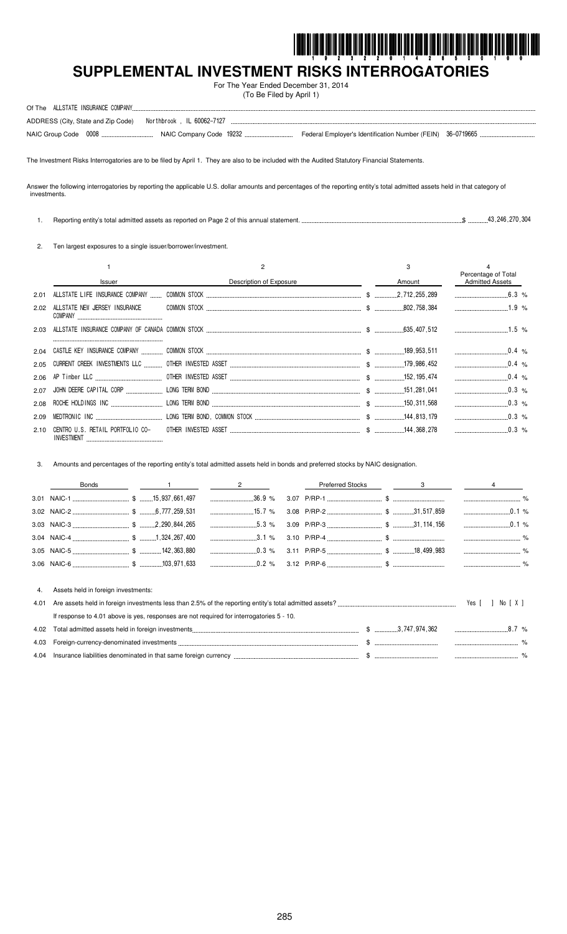

# SUPPLEMENTAL INVESTMENT RISKS INTERROGATORIES

For The Year Ended December 31, 2014 (To Be Filed by April 1)

| ADDRESS (City, State and Zip Code) Northbrook, IL 60062-7127 |  |  |
|--------------------------------------------------------------|--|--|
|                                                              |  |  |

The Investment Risks Interrogatories are to be filed by April 1. They are also to be included with the Audited Statutory Financial Statements.

Answer the following interrogatories by reporting the applicable U.S. dollar amounts and percentages of the reporting entity's total admitted assets held in that category of investments.

 $$$ ..............43,246,270,304 1. Reporting entity's total admitted assets as reported on Page 2 of this annual statement...

2. Ten largest exposures to a single issuer/borrower/investment.

|      | <b>Issuer</b>                 | Description of Exposure | Amount | Percentage of Total<br><b>Admitted Assets</b> |
|------|-------------------------------|-------------------------|--------|-----------------------------------------------|
| 2.01 |                               |                         |        | 6.3 $%$                                       |
| 2.02 | ALLSTATE NEW JERSEY INSURANCE |                         |        | $1.9\%$                                       |
| 2.03 |                               |                         |        |                                               |
|      |                               |                         |        |                                               |
| 2.05 |                               |                         |        | $0.4\%$                                       |
|      |                               |                         |        |                                               |
| 2.07 |                               |                         |        | $0.3\%$                                       |
| 2.08 |                               |                         |        | $\ldots$ 0.3 %                                |
| 2.09 |                               |                         |        |                                               |
| 2.10 |                               |                         |        | $0.3\%$                                       |

Amounts and percentages of the reporting entity's total admitted assets held in bonds and preferred stocks by NAIC designation.  $3.$ 

|      | Bonds                               | $\overline{2}$                                                                           | <b>Preferred Stocks</b> | $\sim$ 3 |                                                                                                                                                                                                                                |
|------|-------------------------------------|------------------------------------------------------------------------------------------|-------------------------|----------|--------------------------------------------------------------------------------------------------------------------------------------------------------------------------------------------------------------------------------|
|      |                                     | $\frac{36.9}{8}$                                                                         |                         |          |                                                                                                                                                                                                                                |
|      |                                     |                                                                                          |                         |          | $\ldots$ 0.1 %                                                                                                                                                                                                                 |
|      |                                     | $5.3\%$                                                                                  |                         |          | $\frac{1}{2}$ 0.1 %                                                                                                                                                                                                            |
|      |                                     |                                                                                          |                         |          |                                                                                                                                                                                                                                |
|      |                                     | $\ldots$ 0.3 %                                                                           |                         |          |                                                                                                                                                                                                                                |
|      |                                     |                                                                                          |                         |          |                                                                                                                                                                                                                                |
| 4.01 | Assets held in foreign investments: | If response to 4.01 above is yes, responses are not required for interrogatories 5 - 10. |                         |          | Yes [<br>No [X]                                                                                                                                                                                                                |
| 4.02 |                                     |                                                                                          |                         |          | 8.7%                                                                                                                                                                                                                           |
| 4.03 |                                     |                                                                                          |                         |          |                                                                                                                                                                                                                                |
| 4.04 |                                     |                                                                                          |                         |          | lnsurance liabilities denominated in that same foreign currency that the contract the contract of the state of the state of the state of the state of the state of the state of the state of the state of the state of the sta |

4.04 Insurance liabilities denominated in that same foreign currency ...  $.$  \$ ...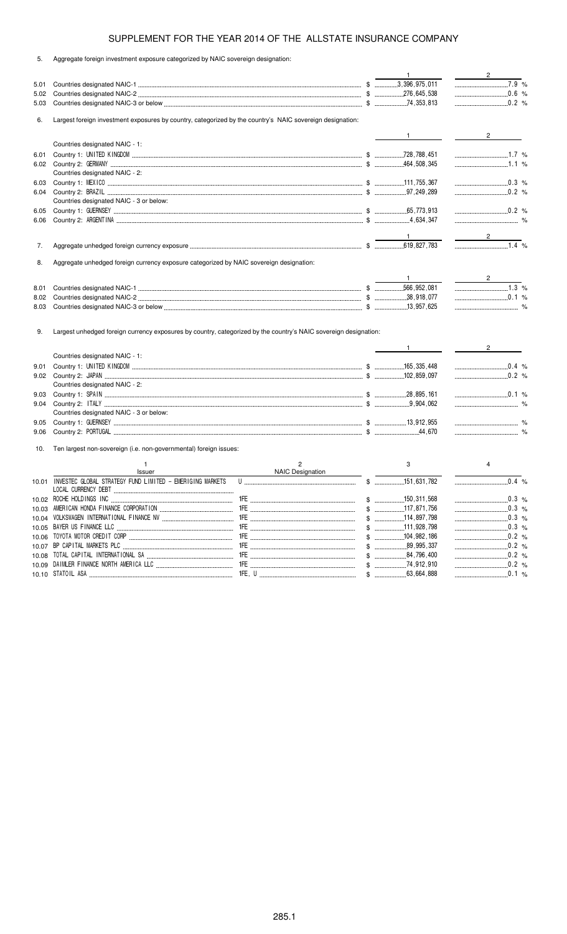| 5. |  |  | Aggregate foreign investment exposure categorized by NAIC sovereign designation: |  |  |
|----|--|--|----------------------------------------------------------------------------------|--|--|

|       |                                                                                                                  |                  | $\mathbf{1}$                  | $\overline{\phantom{a}2\phantom{a}}$ |
|-------|------------------------------------------------------------------------------------------------------------------|------------------|-------------------------------|--------------------------------------|
| 5.01  |                                                                                                                  |                  |                               | $\overline{7.9}$ %                   |
| 5.02  |                                                                                                                  |                  |                               | 0.6 %                                |
| 5.03  |                                                                                                                  |                  |                               | $0.2\%$                              |
| 6.    | Largest foreign investment exposures by country, categorized by the country's NAIC sovereign designation:        |                  |                               |                                      |
|       |                                                                                                                  |                  | $\mathbf{1}$ and $\mathbf{1}$ | $\overline{2}$                       |
|       | Countries designated NAIC - 1:                                                                                   |                  |                               |                                      |
| 6.01  |                                                                                                                  |                  |                               |                                      |
| 6.02  |                                                                                                                  |                  |                               | $1.1\%$                              |
|       | Countries designated NAIC - 2:                                                                                   |                  |                               |                                      |
| 6.03  |                                                                                                                  |                  |                               | $\ldots$ 0.3 %                       |
| 6.04  |                                                                                                                  |                  |                               | $\ldots$ 0.2 %                       |
|       | Countries designated NAIC - 3 or below:                                                                          |                  |                               |                                      |
| 6.05  |                                                                                                                  |                  |                               |                                      |
| 6.06  |                                                                                                                  |                  |                               |                                      |
|       |                                                                                                                  |                  |                               |                                      |
|       |                                                                                                                  |                  |                               | $\overline{\phantom{a}}$ 2           |
| 7.    |                                                                                                                  |                  |                               | $\frac{1}{1.4}$ %                    |
|       |                                                                                                                  |                  |                               |                                      |
| 8.    | Aggregate unhedged foreign currency exposure categorized by NAIC sovereign designation:                          |                  |                               |                                      |
|       |                                                                                                                  |                  |                               |                                      |
|       |                                                                                                                  |                  |                               |                                      |
| 8.01  |                                                                                                                  |                  |                               |                                      |
| 8.02  |                                                                                                                  |                  |                               | $\ldots$ 0.1 %                       |
| 8.03  |                                                                                                                  |                  |                               |                                      |
|       |                                                                                                                  |                  |                               |                                      |
| 9.    | Largest unhedged foreign currency exposures by country, categorized by the country's NAIC sovereign designation: |                  | $1$ and $\sim$                | $2^{\circ}$                          |
|       | Countries designated NAIC - 1:                                                                                   |                  |                               |                                      |
| 9.01  |                                                                                                                  |                  |                               | $0.4\%$                              |
| 9.02  |                                                                                                                  |                  |                               |                                      |
|       | Countries designated NAIC - 2:                                                                                   |                  |                               |                                      |
| 9.03  |                                                                                                                  |                  |                               | $\ldots$ 0.1 %                       |
| 9.04  |                                                                                                                  |                  |                               |                                      |
|       | Countries designated NAIC - 3 or below:                                                                          |                  |                               |                                      |
| 9.05  |                                                                                                                  |                  |                               |                                      |
| 9.06  |                                                                                                                  |                  |                               |                                      |
| 10.   | Ten largest non-sovereign (i.e. non-governmental) foreign issues:                                                |                  |                               |                                      |
|       | $\mathbf{1}$                                                                                                     | $\overline{c}$   | 3                             | $\overline{4}$                       |
|       | Issuer                                                                                                           | NAIC Designation |                               |                                      |
|       |                                                                                                                  |                  |                               | $0.4\%$                              |
|       |                                                                                                                  |                  |                               |                                      |
| 10.03 |                                                                                                                  |                  |                               | $\ldots$ 0.3 %                       |
|       |                                                                                                                  |                  |                               | $\ldots$ 0.3 %                       |
|       |                                                                                                                  |                  |                               | $0.3\%$                              |
| 10.06 |                                                                                                                  |                  |                               | $\ldots$ 0.2 %                       |
|       |                                                                                                                  |                  |                               |                                      |
|       |                                                                                                                  |                  | $$$ 84,796,400                |                                      |
|       |                                                                                                                  |                  |                               | $\ldots$ 0.2 %<br>$\ldots$ 0.1 %     |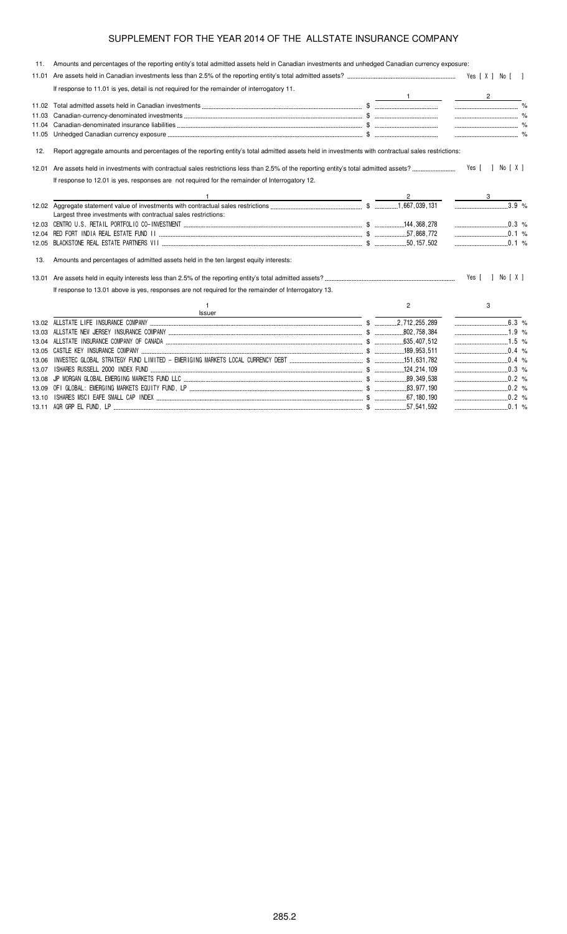| 11.   | Amounts and percentages of the reporting entity's total admitted assets held in Canadian investments and unhedged Canadian currency exposure:     |                |                  |
|-------|---------------------------------------------------------------------------------------------------------------------------------------------------|----------------|------------------|
|       |                                                                                                                                                   |                |                  |
|       | If response to 11.01 is yes, detail is not required for the remainder of interrogatory 11.                                                        |                |                  |
|       |                                                                                                                                                   |                | $\mathbf{2}$     |
| 11.02 |                                                                                                                                                   |                |                  |
| 11.03 |                                                                                                                                                   |                |                  |
| 11.04 |                                                                                                                                                   |                |                  |
| 11.05 |                                                                                                                                                   |                |                  |
| 12.   | Report aggregate amounts and percentages of the reporting entity's total admitted assets held in investments with contractual sales restrictions: |                |                  |
| 12.01 |                                                                                                                                                   |                | Yes [ ] No [ X ] |
|       | If response to 12.01 is yes, responses are not required for the remainder of Interrogatory 12.                                                    |                |                  |
|       |                                                                                                                                                   |                |                  |
|       |                                                                                                                                                   |                | 3.9 %            |
|       | Largest three investments with contractual sales restrictions:                                                                                    |                |                  |
|       |                                                                                                                                                   |                | $\ldots$ 0.3 %   |
| 12.04 |                                                                                                                                                   |                |                  |
| 12.05 |                                                                                                                                                   |                |                  |
| 13.   | Amounts and percentages of admitted assets held in the ten largest equity interests:                                                              |                |                  |
| 13.01 |                                                                                                                                                   |                | Yes [ ] No [ X ] |
|       | If response to 13.01 above is yes, responses are not required for the remainder of Interrogatory 13.                                              |                |                  |
|       | $\mathbf{1}$<br>Issuer<br><u> 1989 - Johann Barbara, martxa al III-lea (h. 1989).</u>                                                             | $\overline{2}$ | 3                |
|       |                                                                                                                                                   |                |                  |
|       |                                                                                                                                                   |                | 1.9 %            |
|       |                                                                                                                                                   |                |                  |
|       |                                                                                                                                                   |                |                  |
| 13.06 |                                                                                                                                                   |                |                  |
| 13.07 |                                                                                                                                                   |                |                  |
| 13.08 |                                                                                                                                                   |                |                  |
|       |                                                                                                                                                   |                |                  |
| 13.10 |                                                                                                                                                   |                |                  |
|       |                                                                                                                                                   |                |                  |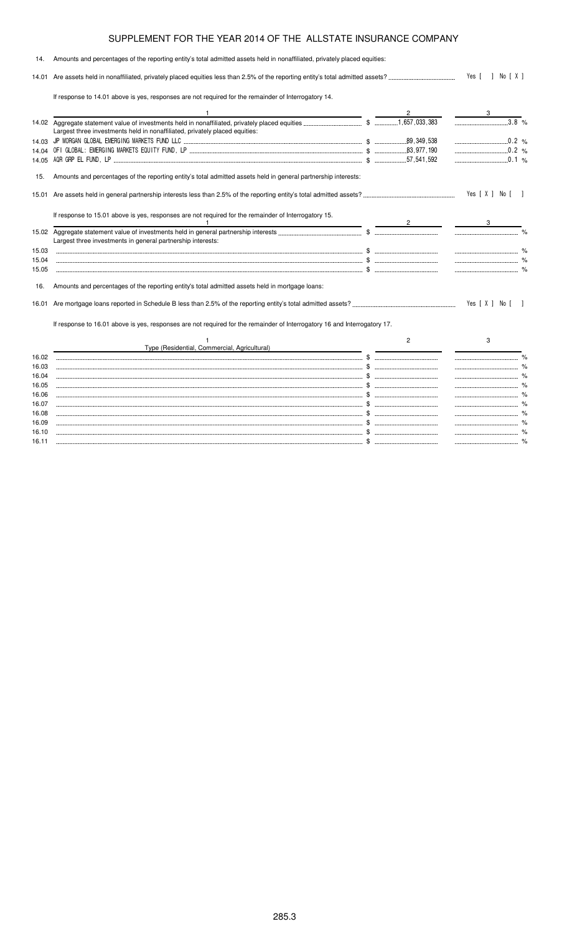| 14.   | Amounts and percentages of the reporting entity's total admitted assets held in nonaffiliated, privately placed equities:                      |                |                    |  |
|-------|------------------------------------------------------------------------------------------------------------------------------------------------|----------------|--------------------|--|
|       |                                                                                                                                                |                | Yes [ ] No [ X ]   |  |
|       | If response to 14.01 above is yes, responses are not required for the remainder of Interrogatory 14.                                           |                |                    |  |
|       |                                                                                                                                                |                | 3                  |  |
|       | Largest three investments held in nonaffiliated, privately placed equities:                                                                    |                | $\overline{3.8}$ % |  |
|       |                                                                                                                                                |                |                    |  |
|       |                                                                                                                                                |                | $0.2\%$            |  |
|       |                                                                                                                                                |                |                    |  |
| 15.   | Amounts and percentages of the reporting entity's total admitted assets held in general partnership interests:                                 |                |                    |  |
| 15.01 |                                                                                                                                                |                | Yes [ X ] No [ ]   |  |
|       | If response to 15.01 above is yes, responses are not required for the remainder of Interrogatory 15.                                           |                |                    |  |
|       | the contract of the contract of the contract of the contract of the contract of<br>Largest three investments in general partnership interests: |                |                    |  |
| 15.03 |                                                                                                                                                |                |                    |  |
| 15.04 |                                                                                                                                                |                |                    |  |
| 15.05 |                                                                                                                                                |                |                    |  |
| 16.   | Amounts and percentages of the reporting entity's total admitted assets held in mortgage loans:                                                |                |                    |  |
| 16.01 |                                                                                                                                                |                | Yes [ X ] No [ ]   |  |
|       | If response to 16.01 above is yes, responses are not required for the remainder of Interrogatory 16 and Interrogatory 17.                      |                |                    |  |
|       |                                                                                                                                                | $\overline{c}$ | 3                  |  |
|       | Type (Residential, Commercial, Agricultural)                                                                                                   |                |                    |  |
| 16.02 |                                                                                                                                                |                |                    |  |
| 16.03 |                                                                                                                                                |                |                    |  |
| 16.04 |                                                                                                                                                |                |                    |  |
| 16.05 |                                                                                                                                                |                |                    |  |
| 16.06 |                                                                                                                                                |                |                    |  |
| 16.07 |                                                                                                                                                |                |                    |  |
| 16.08 |                                                                                                                                                |                |                    |  |
| 16.09 |                                                                                                                                                |                |                    |  |
| 16.10 |                                                                                                                                                |                |                    |  |
| 16.11 |                                                                                                                                                |                |                    |  |